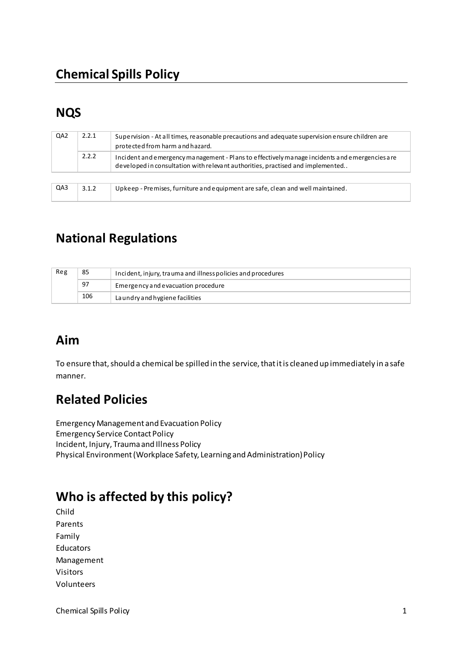# **NQS**

| QA <sub>2</sub> | 2.2.1 | Supervision - At all times, reasonable precautions and adequate supervision ensure children are<br>protected from harm and hazard.                                              |
|-----------------|-------|---------------------------------------------------------------------------------------------------------------------------------------------------------------------------------|
|                 | 2.2.2 | Incident and emergency management - Plans to effectively manage incidents and emergencies are<br>developed in consultation with relevant authorities, practised and implemented |
|                 |       |                                                                                                                                                                                 |
| QA3             | 3.1.2 | Upkeep - Premises, furniture and equipment are safe, clean and well maintained.                                                                                                 |

## **National Regulations**

| Reg | 85  | Incident, injury, trauma and illness policies and procedures |
|-----|-----|--------------------------------------------------------------|
|     | 97  | Emergency and evacuation procedure                           |
|     | 106 | La undry and hygiene facilities                              |

### **Aim**

To ensure that, should a chemical be spilled in the service, that it is cleaned up immediately in a safe manner.

### **Related Policies**

Emergency Management and Evacuation Policy Emergency Service Contact Policy Incident, Injury, Trauma and Illness Policy Physical Environment (Workplace Safety, Learning and Administration) Policy

### **Who is affected by this policy?**

Child Parents Family Educators Management Visitors Volunteers